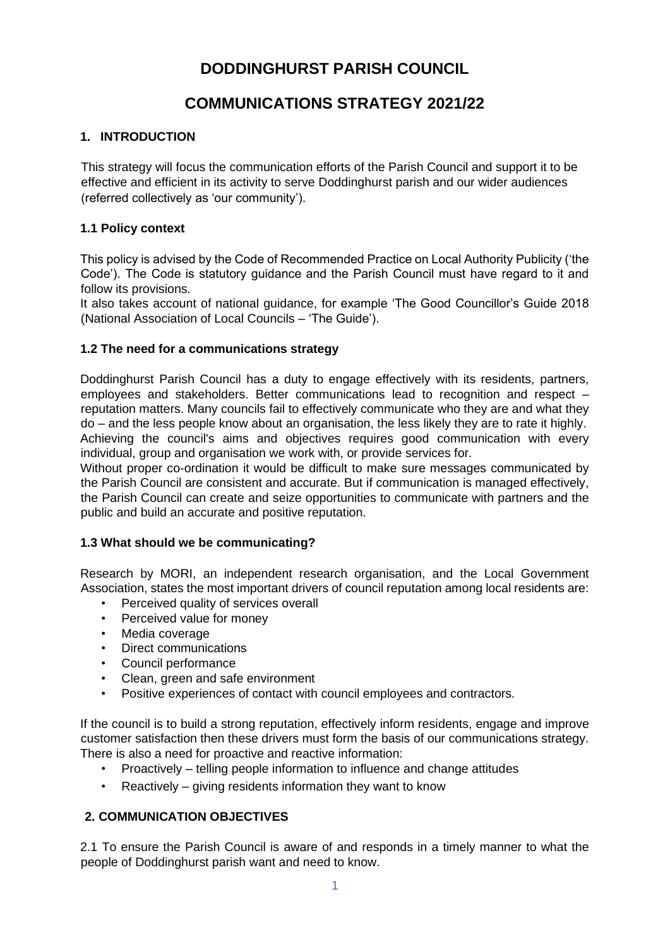# **DODDINGHURST PARISH COUNCIL**

# **COMMUNICATIONS STRATEGY 2021/22**

## **1. INTRODUCTION**

This strategy will focus the communication efforts of the Parish Council and support it to be effective and efficient in its activity to serve Doddinghurst parish and our wider audiences (referred collectively as 'our community').

## **1.1 Policy context**

This policy is advised by the Code of Recommended Practice on Local Authority Publicity ('the Code'). The Code is statutory guidance and the Parish Council must have regard to it and follow its provisions.

It also takes account of national guidance, for example 'The Good Councillor's Guide 2018 (National Association of Local Councils – 'The Guide').

## **1.2 The need for a communications strategy**

Doddinghurst Parish Council has a duty to engage effectively with its residents, partners, employees and stakeholders. Better communications lead to recognition and respect – reputation matters. Many councils fail to effectively communicate who they are and what they do – and the less people know about an organisation, the less likely they are to rate it highly. Achieving the council's aims and objectives requires good communication with every individual, group and organisation we work with, or provide services for.

Without proper co-ordination it would be difficult to make sure messages communicated by the Parish Council are consistent and accurate. But if communication is managed effectively, the Parish Council can create and seize opportunities to communicate with partners and the public and build an accurate and positive reputation.

#### **1.3 What should we be communicating?**

Research by MORI, an independent research organisation, and the Local Government Association, states the most important drivers of council reputation among local residents are:

- Perceived quality of services overall
- Perceived value for money
- Media coverage
- Direct communications
- Council performance
- Clean, green and safe environment
- Positive experiences of contact with council employees and contractors.

If the council is to build a strong reputation, effectively inform residents, engage and improve customer satisfaction then these drivers must form the basis of our communications strategy. There is also a need for proactive and reactive information:

- Proactively telling people information to influence and change attitudes
- Reactively giving residents information they want to know

# **2. COMMUNICATION OBJECTIVES**

2.1 To ensure the Parish Council is aware of and responds in a timely manner to what the people of Doddinghurst parish want and need to know.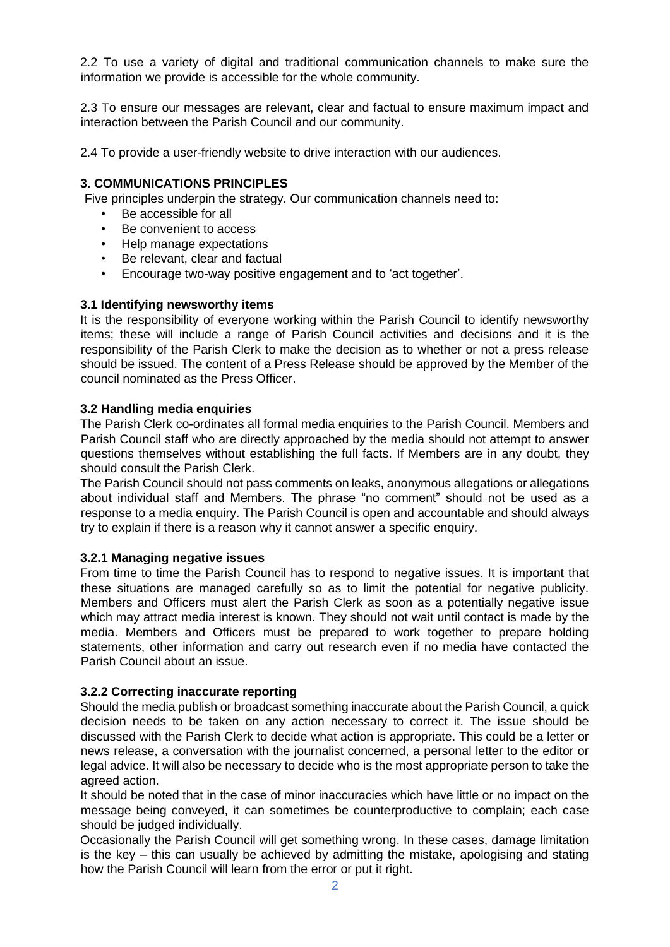2.2 To use a variety of digital and traditional communication channels to make sure the information we provide is accessible for the whole community.

2.3 To ensure our messages are relevant, clear and factual to ensure maximum impact and interaction between the Parish Council and our community.

2.4 To provide a user-friendly website to drive interaction with our audiences.

#### **3. COMMUNICATIONS PRINCIPLES**

Five principles underpin the strategy. Our communication channels need to:

- Be accessible for all
- Be convenient to access
- Help manage expectations
- Be relevant, clear and factual
- Encourage two-way positive engagement and to 'act together'.

#### **3.1 Identifying newsworthy items**

It is the responsibility of everyone working within the Parish Council to identify newsworthy items; these will include a range of Parish Council activities and decisions and it is the responsibility of the Parish Clerk to make the decision as to whether or not a press release should be issued. The content of a Press Release should be approved by the Member of the council nominated as the Press Officer.

#### **3.2 Handling media enquiries**

The Parish Clerk co-ordinates all formal media enquiries to the Parish Council. Members and Parish Council staff who are directly approached by the media should not attempt to answer questions themselves without establishing the full facts. If Members are in any doubt, they should consult the Parish Clerk.

The Parish Council should not pass comments on leaks, anonymous allegations or allegations about individual staff and Members. The phrase "no comment" should not be used as a response to a media enquiry. The Parish Council is open and accountable and should always try to explain if there is a reason why it cannot answer a specific enquiry.

#### **3.2.1 Managing negative issues**

From time to time the Parish Council has to respond to negative issues. It is important that these situations are managed carefully so as to limit the potential for negative publicity. Members and Officers must alert the Parish Clerk as soon as a potentially negative issue which may attract media interest is known. They should not wait until contact is made by the media. Members and Officers must be prepared to work together to prepare holding statements, other information and carry out research even if no media have contacted the Parish Council about an issue.

#### **3.2.2 Correcting inaccurate reporting**

Should the media publish or broadcast something inaccurate about the Parish Council, a quick decision needs to be taken on any action necessary to correct it. The issue should be discussed with the Parish Clerk to decide what action is appropriate. This could be a letter or news release, a conversation with the journalist concerned, a personal letter to the editor or legal advice. It will also be necessary to decide who is the most appropriate person to take the agreed action.

It should be noted that in the case of minor inaccuracies which have little or no impact on the message being conveyed, it can sometimes be counterproductive to complain; each case should be judged individually.

Occasionally the Parish Council will get something wrong. In these cases, damage limitation is the key – this can usually be achieved by admitting the mistake, apologising and stating how the Parish Council will learn from the error or put it right.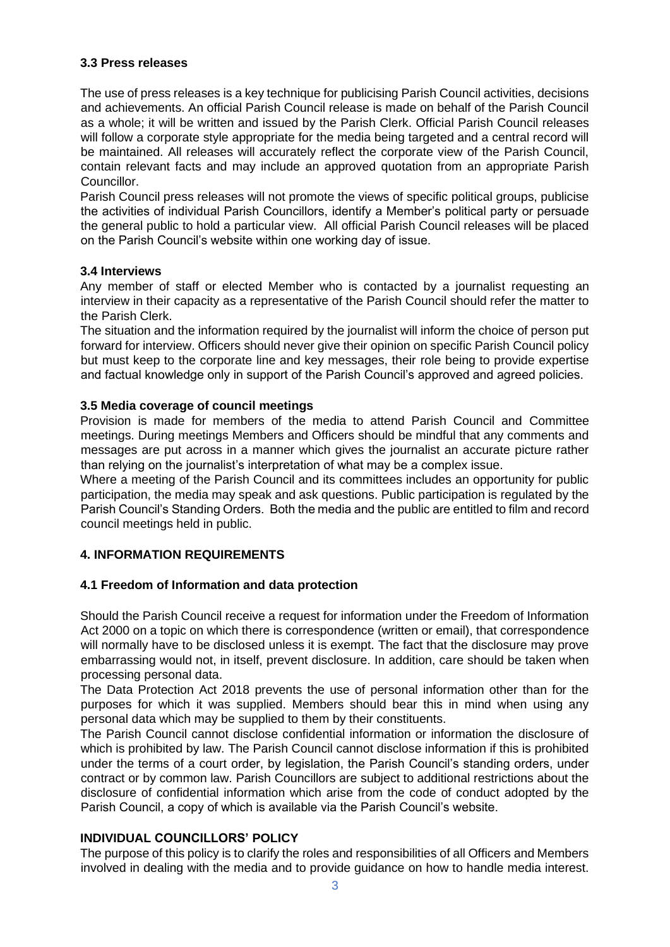## **3.3 Press releases**

The use of press releases is a key technique for publicising Parish Council activities, decisions and achievements. An official Parish Council release is made on behalf of the Parish Council as a whole; it will be written and issued by the Parish Clerk. Official Parish Council releases will follow a corporate style appropriate for the media being targeted and a central record will be maintained. All releases will accurately reflect the corporate view of the Parish Council, contain relevant facts and may include an approved quotation from an appropriate Parish Councillor.

Parish Council press releases will not promote the views of specific political groups, publicise the activities of individual Parish Councillors, identify a Member's political party or persuade the general public to hold a particular view. All official Parish Council releases will be placed on the Parish Council's website within one working day of issue.

## **3.4 Interviews**

Any member of staff or elected Member who is contacted by a journalist requesting an interview in their capacity as a representative of the Parish Council should refer the matter to the Parish Clerk.

The situation and the information required by the journalist will inform the choice of person put forward for interview. Officers should never give their opinion on specific Parish Council policy but must keep to the corporate line and key messages, their role being to provide expertise and factual knowledge only in support of the Parish Council's approved and agreed policies.

## **3.5 Media coverage of council meetings**

Provision is made for members of the media to attend Parish Council and Committee meetings. During meetings Members and Officers should be mindful that any comments and messages are put across in a manner which gives the journalist an accurate picture rather than relying on the journalist's interpretation of what may be a complex issue.

Where a meeting of the Parish Council and its committees includes an opportunity for public participation, the media may speak and ask questions. Public participation is regulated by the Parish Council's Standing Orders. Both the media and the public are entitled to film and record council meetings held in public.

# **4. INFORMATION REQUIREMENTS**

#### **4.1 Freedom of Information and data protection**

Should the Parish Council receive a request for information under the Freedom of Information Act 2000 on a topic on which there is correspondence (written or email), that correspondence will normally have to be disclosed unless it is exempt. The fact that the disclosure may prove embarrassing would not, in itself, prevent disclosure. In addition, care should be taken when processing personal data.

The Data Protection Act 2018 prevents the use of personal information other than for the purposes for which it was supplied. Members should bear this in mind when using any personal data which may be supplied to them by their constituents.

The Parish Council cannot disclose confidential information or information the disclosure of which is prohibited by law. The Parish Council cannot disclose information if this is prohibited under the terms of a court order, by legislation, the Parish Council's standing orders, under contract or by common law. Parish Councillors are subject to additional restrictions about the disclosure of confidential information which arise from the code of conduct adopted by the Parish Council, a copy of which is available via the Parish Council's website.

#### **INDIVIDUAL COUNCILLORS' POLICY**

The purpose of this policy is to clarify the roles and responsibilities of all Officers and Members involved in dealing with the media and to provide guidance on how to handle media interest.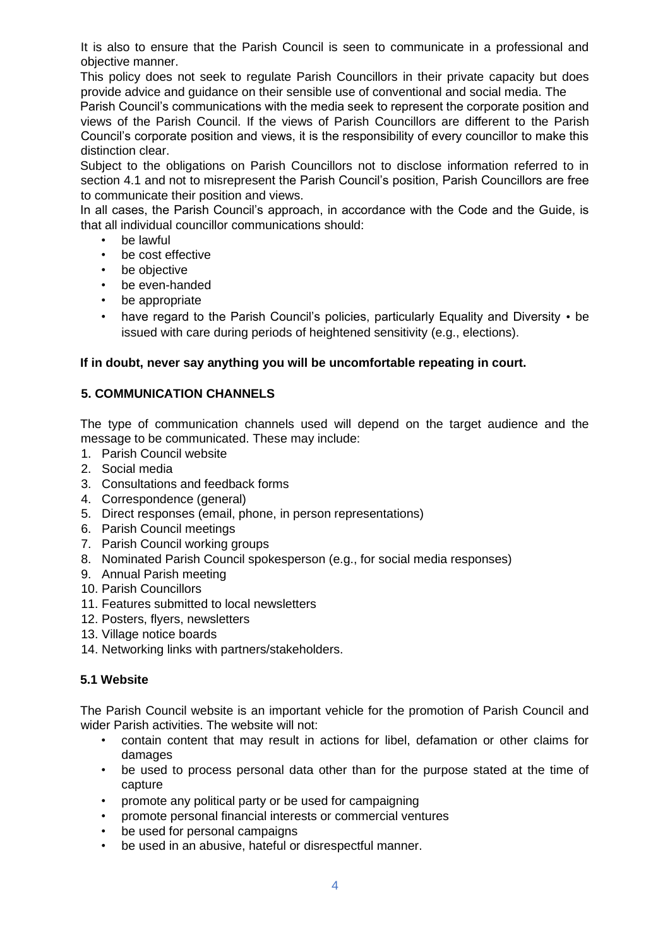It is also to ensure that the Parish Council is seen to communicate in a professional and objective manner.

This policy does not seek to regulate Parish Councillors in their private capacity but does provide advice and guidance on their sensible use of conventional and social media. The

Parish Council's communications with the media seek to represent the corporate position and views of the Parish Council. If the views of Parish Councillors are different to the Parish Council's corporate position and views, it is the responsibility of every councillor to make this distinction clear.

Subject to the obligations on Parish Councillors not to disclose information referred to in section 4.1 and not to misrepresent the Parish Council's position, Parish Councillors are free to communicate their position and views.

In all cases, the Parish Council's approach, in accordance with the Code and the Guide, is that all individual councillor communications should:

- be lawful
- be cost effective
- be objective
- be even-handed
- be appropriate
- have regard to the Parish Council's policies, particularly Equality and Diversity be issued with care during periods of heightened sensitivity (e.g., elections).

## **If in doubt, never say anything you will be uncomfortable repeating in court.**

# **5. COMMUNICATION CHANNELS**

The type of communication channels used will depend on the target audience and the message to be communicated. These may include:

- 1. Parish Council website
- 2. Social media
- 3. Consultations and feedback forms
- 4. Correspondence (general)
- 5. Direct responses (email, phone, in person representations)
- 6. Parish Council meetings
- 7. Parish Council working groups
- 8. Nominated Parish Council spokesperson (e.g., for social media responses)
- 9. Annual Parish meeting
- 10. Parish Councillors
- 11. Features submitted to local newsletters
- 12. Posters, flyers, newsletters
- 13. Village notice boards
- 14. Networking links with partners/stakeholders.

# **5.1 Website**

The Parish Council website is an important vehicle for the promotion of Parish Council and wider Parish activities. The website will not:

- contain content that may result in actions for libel, defamation or other claims for damages
- be used to process personal data other than for the purpose stated at the time of capture
- promote any political party or be used for campaigning
- promote personal financial interests or commercial ventures
- be used for personal campaigns
- be used in an abusive, hateful or disrespectful manner.